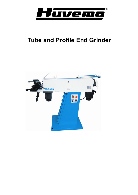

# **Tube and Profile End Grinder**

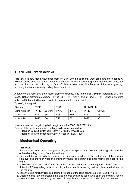# **II. TECHNICAL SPECIFICATIONS**

PRS76C is a new model developed from PRS-76. with an additional work area, and more capacity. Except can be used for grinding ends of tube sections and deburring ground tube section ends, but also can be used for polishing surface of plate, square tube. Combination of the tube grinding, surface grinding and wheel grinding three functions.

A survey of the roller available: Roller diameters from $\phi$ 20 up to and incl. $\mathfrak{C}$  60 mm increasing by 2 mm steps. Roller diameters  $\mathcal{C}76mm$ ; 1/4", 1/2"; 3/4"; 1", 1 1/4; 1 1/2; 2" and 2 1/2". Other diameters between  $\mathfrak{C}$  20 and  $\mathfrak{C}$  76mm are available on request from your dealer.

| Diameter                   | <b>STEEL</b> |              | <b>RVS</b> |             | ALUMINIUM |              |
|----------------------------|--------------|--------------|------------|-------------|-----------|--------------|
| Grinding roller            | <b>TYPE</b>  | <b>GRAIN</b> | TYPF       | <b>TYPF</b> | TYPF      | <b>GRAIN</b> |
| $\varphi$ 20- $\varphi$ 40 | R822         | 36           | R981       | 150         | R822      | 36           |
| $\varphi$ 40- $\varphi$ 76 | R845         | 36           | R981       | 36          | R822      | 36           |

Type of grinding belt:

Measurements of the grinding belt: length x width =2000 x100 (79" x4")

Survey of the switches and zero voltage coils for certain voltages:

Tension 230Volt switches: PKZM1-10 +coil U-PKZM1-230

Tension 400Volt switches: PKZM1-6 +coil U-PKZM1-400

# **III . Mechanical Operating**

## **A. INSTALL**

- 1. Remove the detachable parts (scrap bin, with the spare parts, box with grinding belts and the ordered grinding rollers) from the packing.
- 2. Dismount the two fixing bolts, by which the pipe notcher is fixed to the underframe of the packing. Remove also the four wooden screws by which the column and underframe are fixed to the crate.
- 3. Take the column and underframe out of the packing and mount these together. (See ill. No.2) Attention!! The grinding belts, scrap bin, sphere handle, fastening bolt, and lever are included in the column.
- 4. Take the pipe notcher from its packing by means of the rope connected to it. (See ill. No.1)
- 5. Open the side flap and position the pipe notcher by a rope (see ill.No.2) on the column. Fasten the machine to the column by the two M12 bolts. Place the scrap bin under the pipe notcher.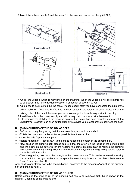6. Mount the sphere handle A and the lever B to the front and under the clamp (ill. No3)



**Illustration 2** 

**Illustration 4** 

- 7. Check the voltage, which is mentioned on the machine. When the voltage is not correct this has to be altered. See for instructions chapter "Connection of 230 or 400Volt"
- 8. A plug has to be mounted the the cable. Please check, after you have connected the plug, if the driving roller of Tube and Profile End Grinder rotates in the rotating direction indicated on the driving roller. If this is not the case, you have to change the threads in question in the plug.
- 9. Lead the cable to the power supply socket in a way that nobody can stumble over it.
- 10. To increase the stability of the machine an adjusting screw has been mounted underneath the underframe.To achieve an even better stability we advise you to anchor the machine to the floor.

#### **B. (DIS) MOUNTING OF THE GRINDING BELT**

- $=$  >Before removing the grinding belt, it must completely come to a standstill
- $=$  >Rotate the compound tables as far as possible from the machine
- $=$  > Open the side flap and the top flap.
- $=$   $>$ Rotate handcrank A (see ill.no.4) to the left, to release the tension of the grinding belt.
- $\epsilon$  =  $>$ Now position the grinding belt, please see to it, that the arrow on the inside of the grinding belt and the arrow on the power roller are heading the same direction. Start to replace the grinding belt at the side of the grinding roller. For the execution and type of a new grinding belt we refer to the technical information.
- $=$  >Then the grinding belt has to be brought to the correct tension. This can be achieved y rotating handcrank A to the right, so far, that the space between the cylinder and the plate is between the 3 and 5 mm.(see ill.no.4).

After this the adjustment has to be checked again, according to the procedure "Adjusting the grinding belt and grinding roller".

#### **C. (DIS) MOUNTING OF THE GRINDING ROLLER**

Before changing the grinding roller the grinding belt has to be removed first, this is shown in the chapter "Changing of the grinding belt".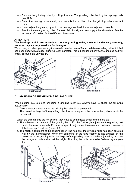- $=$   $\geq$ Remove the grinding roller by pulling it to you. The grinding roller held by two springy balls (see ill.5)
- $=$  > Clean the bearing holders well, this prevents the problem that the grinding roller does not clamp.
- $=$   $>$ Never adjust the glands, by which the bearings are held, these are adjusted correctly.
- $=$  >Position the new grinding roller. Remark: Additionally we can supply roller diameters. See the technical information for the different dimensions.

#### **ATTENTION:**

#### **The bearings which are assembled on the grinding roller, must e handle very carefully, because they are very sensitive for damages.**

We advise you, when you use a grinding roller smaller than φ30mm., to take a grinding belt which first has been used with a bigger grinding roller diameter. This is because otherwise the grinding belt will crack, because it is very tough.





**Illustration 5** 

**Illustration 6** 

#### D. **ADJUSING OF THE GRINDING BELT/-ROLLER**

When putting into use and changing a grinding roller you always have to check the following adiustments:

- a. The sidewards movement of the grinding belt should be prevented.
- b. The centerline height of the grinding roller has to be equal to the tube section, which has to be grounded.

When the adjustments are not correct, they have to be adjusted as follows to here by:

- a. The sidewards movement of the grinding belt. : For the first rough adjustment the grinding belt has to be turned manually. For a more specific adjustment the motor can be turned on (see to it that sideflap E is closed). (see ill.6)
- b. The height adjustment of the grinding roller: The height of the grinding roller has been adjusted well by the manufacturer. When the centerline of the tube section is not situated on the centerline of the grinding roller, the height of the grinding roller has to be adjusted by unscrew the hexagonal bolts and adjust the height. After this, the bolts have to be fastened again. (see  $ill.7)$

 $\circ$ 





**Illustration 7** 

**Illustration 8**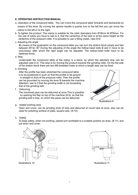## **E. OPERATING INSTRUCTION MANUAL**

- a. Operation of the compound table : You can move the compound table forwards and backwards by means of the lever. By moving the sphere handle a quarter turn to the left first you can move the clamp to the left or to the right.
- b. To tighten the product :The clamp is suitable for the roller diameters from Ø18mm till Ø76mm. For the use of tubes you have to see to it, that the centerline of the tube is at the same height as the centerline of the pressure roller. It is possible to use a filling cheek. (see ill.8)
- c. Adjusting the angle

By means of the graduation on the compound table you can turn the stretch block simply and fast between 90°en 30°.During the adjusting of the angle the hollow-head bolts B and C have to be unscrewed, after which the right angle can be adjusted. The hollow-head bolts have to be fastened firmly.

d. Stop

Underneath the compound table of the clamp is a block, by which the standard stop can be adjusted (see ill.3). This stop is for moving the product towards the grinding roller. On the flat side of the stretch block there are two M8 threaded holes to which a length stop can be fixed.

e. Grinding

After the profile has been stretched the compound table is to be positioned in such so that the profile to be ground is straight in front of the pressure roller. Then the profile can be grounded by moving the lever B towards the machine. Attention: see to it that the grinding width is not exceeding that of the grinding belt.

f. Deburring

The machined pipe can be deburred at once.This is possible by opening the flap on top of the machine (ill.9), so that the grinding belt is free, on which the pipes can be deburred.



g. Added working area

Open end cover, can be grinding ends of tube and deburred of round tube at once. also can be used for polishing surface of plate, square tube. (ill.10),

## h. Safety

To keep safety, when not working, please turn worktable to a suitable position as draw. (ill.11), and put down end cover.



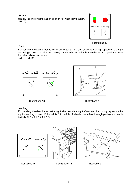i. Switch

Usually the two switches all on position "o" when leave factory.  $(iII.12)$ 



Illustrations 12

j. Cutting

For cut, the direction of belt is left when switch at left. Can select low or high speed on the right according to need. Usually, the running state is adjusted suitable when leave factory—that's mean belt at middle of rear wheel.

(ill.13 & ill.14)





Illustrations 13 Illustrations 14

k. sanding

For sanding, the direction of belt is right when switch at right. Can select low or high speed on the right according to need. If the belt isn't in middle of wheels, can adjust through pentagram handle as ill.17 (ill.15 & ill.16 & ill.17)



Illustrations 15 Illustrations 16 Illustrations 17